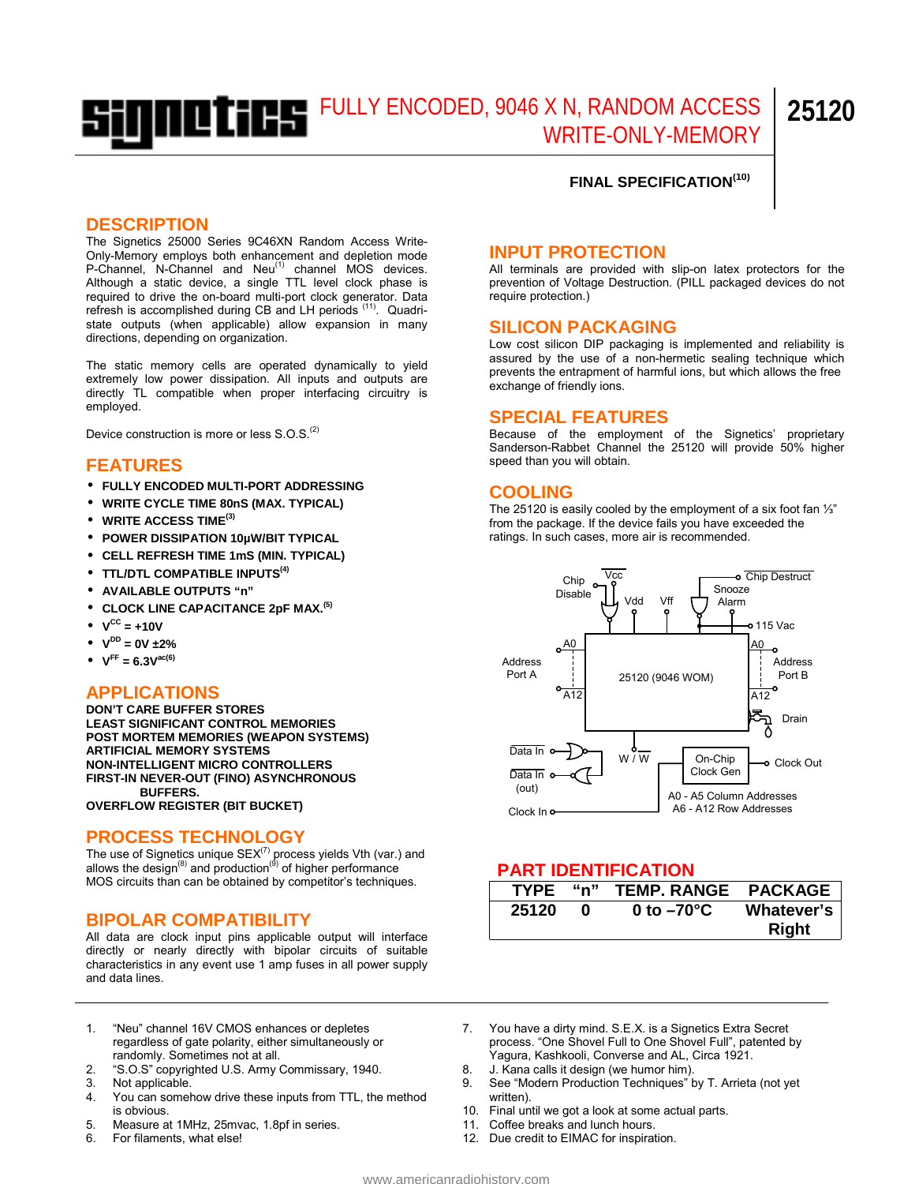# FULLY ENCODED, 9046 X N, RANDOM ACCESS WRITE-ONLY-MEMORY **25120**

## **FINAL SPECIFICATION(10)**

#### **DESCRIPTION**

The Signetics 25000 Series 9C46XN Random Access Write-Only-Memory employs both enhancement and depletion mode P-Channel, N-Channel and Neu<sup>(1)</sup> channel MOS devices. Although a static device, a single TTL level clock phase is required to drive the on-board multi-port clock generator. Data refresh is accomplished during CB and LH periods <sup>(11)</sup>. Quadristate outputs (when applicable) allow expansion in many directions, depending on organization.

The static memory cells are operated dynamically to yield extremely low power dissipation. All inputs and outputs are directly TL compatible when proper interfacing circuitry is employed.

Device construction is more or less S.O.S.<sup>(2)</sup>

# **FEATURES**

- **FULLY ENCODED MULTI-PORT ADDRESSING**
- **WRITE CYCLE TIME 80nS (MAX. TYPICAL)**
- **WRITE ACCESS TIME(3)**
- **POWER DISSIPATION 10µW/BIT TYPICAL**
- **CELL REFRESH TIME 1mS (MIN. TYPICAL)**
- **TTL/DTL COMPATIBLE INPUTS(4)**
- **AVAILABLE OUTPUTS "n"**
- **CLOCK LINE CAPACITANCE 2pF MAX.(5)**
- $\bullet \quad V^{CC} = +10V$
- $V^{DD} = 0V \pm 2\%$
- $V^{FF} = 6.3 V^{ac(6)}$

## **APPLICATIONS**

**DON'T CARE BUFFER STORES LEAST SIGNIFICANT CONTROL MEMORIES POST MORTEM MEMORIES (WEAPON SYSTEMS) ARTIFICIAL MEMORY SYSTEMS NON-INTELLIGENT MICRO CONTROLLERS FIRST-IN NEVER-OUT (FINO) ASYNCHRONOUS BUFFERS.** 

**OVERFLOW REGISTER (BIT BUCKET)** 

# **PROCESS TECHNOLOGY**

The use of Signetics unique  $SEX^{(7)}$  process yields Vth (var.) and allows the design<sup>(8)</sup> and production<sup>(9)</sup> of higher performance MOS circuits than can be obtained by competitor's techniques.

## **BIPOLAR COMPATIBILITY**

All data are clock input pins applicable output will interface directly or nearly directly with bipolar circuits of suitable characteristics in any event use 1 amp fuses in all power supply and data lines.

## **INPUT PROTECTION**

All terminals are provided with slip-on latex protectors for the prevention of Voltage Destruction. (PILL packaged devices do not require protection.)

#### **SILICON PACKAGING**

prevents the entrapment of harmful ions, but which allows the free Low cost silicon DIP packaging is implemented and reliability is assured by the use of a non-hermetic sealing technique which exchange of friendly ions.

#### **SPECIAL FEATURES**

Because of the employment of the Signetics' proprietary Sanderson-Rabbet Channel the 25120 will provide 50% higher speed than you will obtain.

#### **COOLING**

ratings. In such cases, more air is recommended. The 25120 is easily cooled by the employment of a six foot fan 1⁄3" from the package. If the device fails you have exceeded the<br>ratings. In such cases, more air is recommended.



## **PART IDENTIFICATION**

| <b>TYPE</b> | "n" | <b>TEMP. RANGE</b>   | <b>PACKAGE</b>      |
|-------------|-----|----------------------|---------------------|
| 25120       |     | 0 to $-70^{\circ}$ C | Whatever's<br>Right |

- 1. "Neu" channel 16V CMOS enhances or depletes regardless of gate polarity, either simultaneously or randomly. Sometimes not at all.
- 2. "S.O.S" copyrighted U.S. Army Commissary, 1940.
- 3. Not applicable.
- 4. You can somehow drive these inputs from TTL, the method is obvious.
- 5. Measure at 1MHz, 25mvac, 1.8pf in series.
- 6. For filaments, what else!
- 7. You have a dirty mind. S.E.X. is a Signetics Extra Secret process. "One Shovel Full to One Shovel Full", patented by Yagura, Kashkooli, Converse and AL, Circa 1921.
- 8. J. Kana calls it design (we humor him).
- 9. See "Modern Production Techniques" by T. Arrieta (not yet written).
- 10. Final until we got a look at some actual parts.
- 11. Coffee breaks and lunch hours.
- 12. Due credit to EIMAC for inspiration.